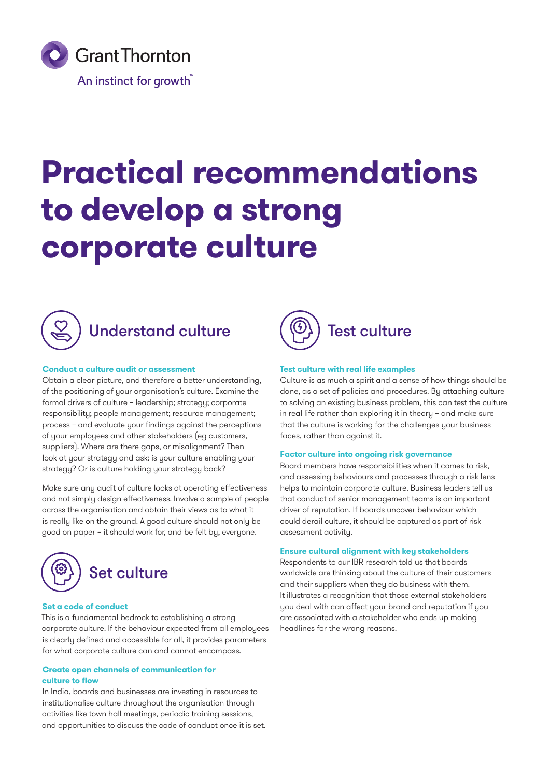

# **Practical recommendations to develop a strong corporate culture**



## **Conduct a culture audit or assessment**

Obtain a clear picture, and therefore a better understanding, of the positioning of your organisation's culture. Examine the formal drivers of culture – leadership; strategy; corporate responsibility; people management; resource management; process – and evaluate your findings against the perceptions of your employees and other stakeholders (eg customers, suppliers). Where are there gaps, or misalignment? Then look at your strategy and ask: is your culture enabling your strategy? Or is culture holding your strategy back?

Make sure any audit of culture looks at operating effectiveness and not simply design effectiveness. Involve a sample of people across the organisation and obtain their views as to what it is really like on the ground. A good culture should not only be good on paper – it should work for, and be felt by, everyone.



### **Set a code of conduct**

This is a fundamental bedrock to establishing a strong corporate culture. If the behaviour expected from all employees is clearly defined and accessible for all, it provides parameters for what corporate culture can and cannot encompass.

### **Create open channels of communication for culture to flow**

In India, boards and businesses are investing in resources to institutionalise culture throughout the organisation through activities like town hall meetings, periodic training sessions, and opportunities to discuss the code of conduct once it is set.



## **Test culture with real life examples**

Culture is as much a spirit and a sense of how things should be done, as a set of policies and procedures. By attaching culture to solving an existing business problem, this can test the culture in real life rather than exploring it in theory – and make sure that the culture is working for the challenges your business faces, rather than against it.

### **Factor culture into ongoing risk governance**

Board members have responsibilities when it comes to risk, and assessing behaviours and processes through a risk lens helps to maintain corporate culture. Business leaders tell us that conduct of senior management teams is an important driver of reputation. If boards uncover behaviour which could derail culture, it should be captured as part of risk assessment activity.

### **Ensure cultural alignment with key stakeholders**

Respondents to our IBR research told us that boards worldwide are thinking about the culture of their customers and their suppliers when they do business with them. It illustrates a recognition that those external stakeholders you deal with can affect your brand and reputation if you are associated with a stakeholder who ends up making headlines for the wrong reasons.